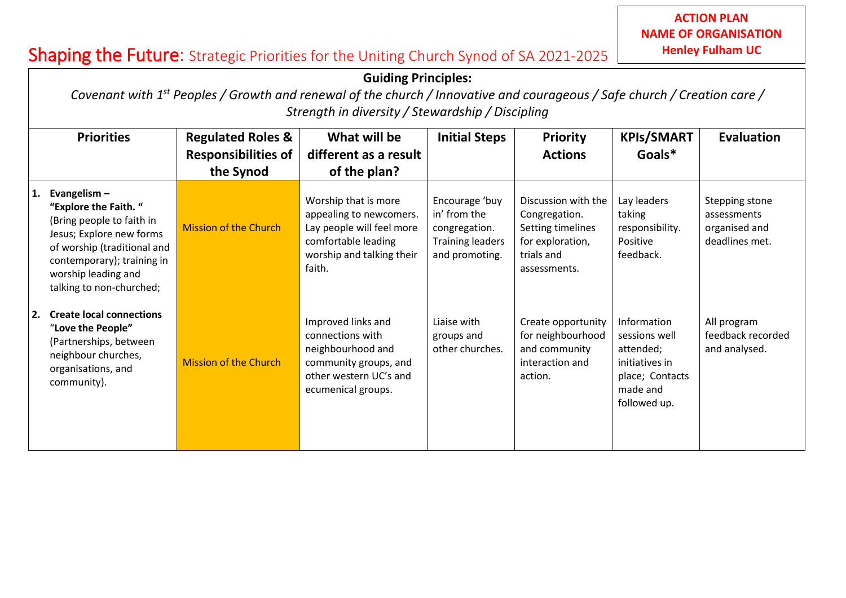## Shaping the Future: Strategic Priorities for the Uniting Church Synod of SA 2021-2025

**Church…………………………………….**

|    | <b>Guiding Principles:</b><br>Covenant with 1 <sup>st</sup> Peoples / Growth and renewal of the church / Innovative and courageous / Safe church / Creation care /<br>Strength in diversity / Stewardship / Discipling |                                                                         |                                                                                                                                            |                                                                                              |                                                                                                             |                                                                                                            |                                                                  |  |  |
|----|------------------------------------------------------------------------------------------------------------------------------------------------------------------------------------------------------------------------|-------------------------------------------------------------------------|--------------------------------------------------------------------------------------------------------------------------------------------|----------------------------------------------------------------------------------------------|-------------------------------------------------------------------------------------------------------------|------------------------------------------------------------------------------------------------------------|------------------------------------------------------------------|--|--|
|    | <b>Priorities</b>                                                                                                                                                                                                      | <b>Regulated Roles &amp;</b><br><b>Responsibilities of</b><br>the Synod | What will be<br>different as a result<br>of the plan?                                                                                      | <b>Initial Steps</b>                                                                         | <b>Priority</b><br><b>Actions</b>                                                                           | <b>KPIs/SMART</b><br>Goals*                                                                                | Evaluation                                                       |  |  |
| 1. | Evangelism $-$<br>"Explore the Faith."<br>(Bring people to faith in<br>Jesus; Explore new forms<br>of worship (traditional and<br>contemporary); training in<br>worship leading and<br>talking to non-churched;        | <b>Mission of the Church</b>                                            | Worship that is more<br>appealing to newcomers.<br>Lay people will feel more<br>comfortable leading<br>worship and talking their<br>faith. | Encourage 'buy<br>in' from the<br>congregation.<br><b>Training leaders</b><br>and promoting. | Discussion with the<br>Congregation.<br>Setting timelines<br>for exploration,<br>trials and<br>assessments. | Lay leaders<br>taking<br>responsibility.<br>Positive<br>feedback.                                          | Stepping stone<br>assessments<br>organised and<br>deadlines met. |  |  |
| 2. | <b>Create local connections</b><br>"Love the People"<br>(Partnerships, between<br>neighbour churches,<br>organisations, and<br>community).                                                                             | <b>Mission of the Church</b>                                            | Improved links and<br>connections with<br>neighbourhood and<br>community groups, and<br>other western UC's and<br>ecumenical groups.       | Liaise with<br>groups and<br>other churches.                                                 | Create opportunity<br>for neighbourhood<br>and community<br>interaction and<br>action.                      | Information<br>sessions well<br>attended;<br>initiatives in<br>place; Contacts<br>made and<br>followed up. | All program<br>feedback recorded<br>and analysed.                |  |  |